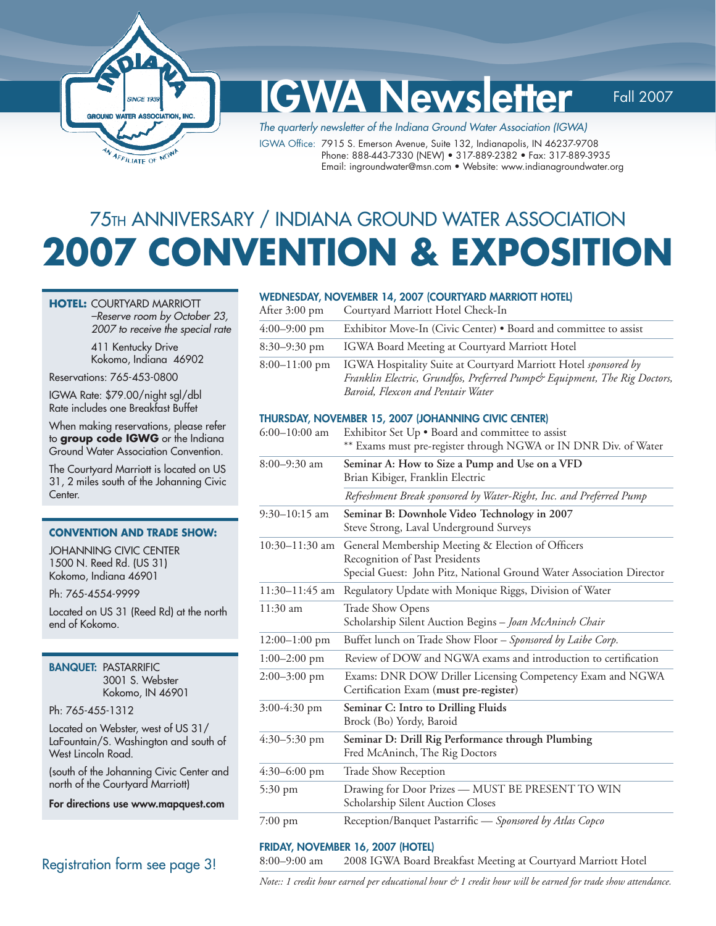

# IGWA Newsletter Fall 2007

The quarterly newsletter of the Indiana Ground Water Association (IGWA)

IGWA Office: 7915 S. Emerson Avenue, Suite 132, Indianapolis, IN 46237-9708 Phone: 888-443-7330 (NEW) • 317-889-2382 • Fax: 317-889-3935 Email: ingroundwater@msn.com • Website: www.indianagroundwater.org

# 75TH ANNIVERSARY / INDIANA GROUND WATER ASSOCIATION **2007 CONVENTION & EXPOSITION**

#### **HOTEL:** COURTYARD MARRIOTT

–Reserve room by October 23, 2007 to receive the special rate

 411 Kentucky Drive Kokomo, Indiana 46902

Reservations: 765-453-0800

IGWA Rate: \$79.00/night sgl/dbl Rate includes one Breakfast Buffet

When making reservations, please refer to **group code IGWG** or the Indiana Ground Water Association Convention.

The Courtyard Marriott is located on US 31, 2 miles south of the Johanning Civic Center.

#### **CONVENTION AND TRADE SHOW:**

JOHANNING CIVIC CENTER 1500 N. Reed Rd. (US 31) Kokomo, Indiana 46901

Ph: 765-4554-9999

Located on US 31 (Reed Rd) at the north end of Kokomo.

BANQUET: PASTARRIFIC 3001 S. Webster Kokomo, IN 46901

Ph: 765-455-1312

Located on Webster, west of US 31/ LaFountain/S. Washington and south of West Lincoln Road.

(south of the Johanning Civic Center and north of the Courtyard Marriott)

For directions use www.mapquest.com

### Registration form see page 3!

#### WEDNESDAY, NOVEMBER 14, 2007 (COURTYARD MARRIOTT HOTEL)

| After 3:00 pm   | Courtyard Marriott Hotel Check-In                                                                                                                                                |
|-----------------|----------------------------------------------------------------------------------------------------------------------------------------------------------------------------------|
| $4:00-9:00$ pm  | Exhibitor Move-In (Civic Center) • Board and committee to assist                                                                                                                 |
| 8:30–9:30 pm    | IGWA Board Meeting at Courtyard Marriott Hotel                                                                                                                                   |
| $8:00-11:00$ pm | IGWA Hospitality Suite at Courtyard Marriott Hotel sponsored by<br>Franklin Electric, Grundfos, Preferred Pump& Equipment, The Rig Doctors,<br>Baroid, Flexcon and Pentair Water |

#### THURSDAY, NOVEMBER 15, 2007 (JOHANNING CIVIC CENTER)

| $6:00-10:00$ am   | Exhibitor Set Up . Board and committee to assist<br>** Exams must pre-register through NGWA or IN DNR Div. of Water                                         |
|-------------------|-------------------------------------------------------------------------------------------------------------------------------------------------------------|
| $8:00 - 9:30$ am  | Seminar A: How to Size a Pump and Use on a VFD<br>Brian Kibiger, Franklin Electric                                                                          |
|                   | Refreshment Break sponsored by Water-Right, Inc. and Preferred Pump                                                                                         |
| $9:30-10:15$ am   | Seminar B: Downhole Video Technology in 2007<br>Steve Strong, Laval Underground Surveys                                                                     |
| $10:30-11:30$ am  | General Membership Meeting & Election of Officers<br>Recognition of Past Presidents<br>Special Guest: John Pitz, National Ground Water Association Director |
| $11:30-11:45$ am  | Regulatory Update with Monique Riggs, Division of Water                                                                                                     |
| $11:30$ am        | Trade Show Opens<br>Scholarship Silent Auction Begins - Joan McAninch Chair                                                                                 |
| $12:00-1:00$ pm   | Buffet lunch on Trade Show Floor - Sponsored by Laibe Corp.                                                                                                 |
| $1:00-2:00$ pm    | Review of DOW and NGWA exams and introduction to certification                                                                                              |
| $2:00 - 3:00$ pm  | Exams: DNR DOW Driller Licensing Competency Exam and NGWA<br>Certification Exam (must pre-register)                                                         |
| $3:00-4:30$ pm    | Seminar C: Intro to Drilling Fluids<br>Brock (Bo) Yordy, Baroid                                                                                             |
| $4:30-5:30$ pm    | Seminar D: Drill Rig Performance through Plumbing<br>Fred McAninch, The Rig Doctors                                                                         |
| $4:30-6:00$ pm    | <b>Trade Show Reception</b>                                                                                                                                 |
| $5:30 \text{ pm}$ | Drawing for Door Prizes - MUST BE PRESENT TO WIN<br>Scholarship Silent Auction Closes                                                                       |
| 7:00 pm           | Reception/Banquet Pastarrific - Sponsored by Atlas Copco                                                                                                    |

### FRIDAY, NOVEMBER 16, 2007 (HOTEL)

8:00–9:00 am 2008 IGWA Board Breakfast Meeting at Courtyard Marriott Hotel

*Note:: 1 credit hour earned per educational hour & 1 credit hour will be earned for trade show attendance.*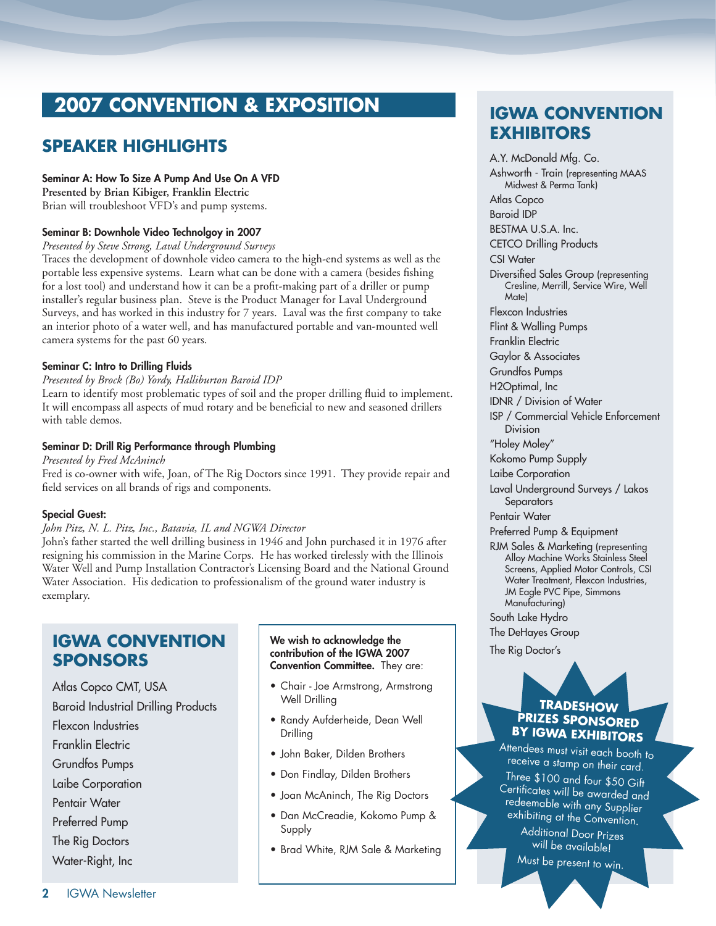# **2007 CONVENTION & EXPOSITION**

# **SPEAKER HIGHLIGHTS**

#### Seminar A: How To Size A Pump And Use On A VFD

**Presented by Brian Kibiger, Franklin Electric**  Brian will troubleshoot VFD's and pump systems.

### Seminar B: Downhole Video Technolgoy in 2007

*Presented by Steve Strong, Laval Underground Surveys* 

Traces the development of downhole video camera to the high-end systems as well as the portable less expensive systems. Learn what can be done with a camera (besides fishing for a lost tool) and understand how it can be a profit-making part of a driller or pump installer's regular business plan. Steve is the Product Manager for Laval Underground Surveys, and has worked in this industry for 7 years. Laval was the first company to take an interior photo of a water well, and has manufactured portable and van-mounted well camera systems for the past 60 years.

### Seminar C: Intro to Drilling Fluids

#### *Presented by Brock (Bo) Yordy, Halliburton Baroid IDP*

Learn to identify most problematic types of soil and the proper drilling fluid to implement. It will encompass all aspects of mud rotary and be beneficial to new and seasoned drillers with table demos.

### Seminar D: Drill Rig Performance through Plumbing

*Presented by Fred McAninch* 

Fred is co-owner with wife, Joan, of The Rig Doctors since 1991. They provide repair and field services on all brands of rigs and components.

#### Special Guest:

#### *John Pitz, N. L. Pitz, Inc., Batavia, IL and NGWA Director*

John's father started the well drilling business in 1946 and John purchased it in 1976 after resigning his commission in the Marine Corps. He has worked tirelessly with the Illinois Water Well and Pump Installation Contractor's Licensing Board and the National Ground Water Association. His dedication to professionalism of the ground water industry is exemplary.

# **IGWA CONVENTION SPONSORS**

Atlas Copco CMT, USA Baroid Industrial Drilling Products Flexcon Industries Franklin Electric Grundfos Pumps Laibe Corporation Pentair Water Preferred Pump The Rig Doctors

Water-Right, Inc

#### We wish to acknowledge the contribution of the IGWA 2007 Convention Committee. They are:

- Chair Joe Armstrong, Armstrong Well Drilling
- Randy Aufderheide, Dean Well Drilling
- John Baker, Dilden Brothers
- Don Findlay, Dilden Brothers
- Joan McAninch, The Rig Doctors
- Dan McCreadie, Kokomo Pump & Supply
- Brad White, RJM Sale & Marketing

# **IGWA CONVENTION EXHIBITORS**

A.Y. McDonald Mfg. Co. Ashworth - Train (representing MAAS Midwest & Perma Tank) Atlas Copco Baroid IDP BESTMA U.S.A. Inc. CETCO Drilling Products CSI Water Diversified Sales Group (representing Cresline, Merrill, Service Wire, Well Mate) Flexcon Industries Flint & Walling Pumps Franklin Electric Gaylor & Associates Grundfos Pumps H2Optimal, Inc IDNR / Division of Water ISP / Commercial Vehicle Enforcement Division "Holey Moley" Kokomo Pump Supply Laibe Corporation Laval Underground Surveys / Lakos **Separators** Pentair Water Preferred Pump & Equipment RJM Sales & Marketing (representing Alloy Machine Works Stainless Steel Screens, Applied Motor Controls, CSI Water Treatment, Flexcon Industries, JM Eagle PVC Pipe, Simmons Manufacturing) South Lake Hydro The DeHayes Group

The Rig Doctor's

### **TRADESHOW PRIZES SPONSORED BY IGWA EXHIBITORS**

Attendees must visit each booth to receive a stamp on their card. Three \$100 and four \$50 Gift Certificates will be awarded and redeemable with any Supplier exhibiting at the Convention.

Additional Door Prizes will be available!

Must be present to win.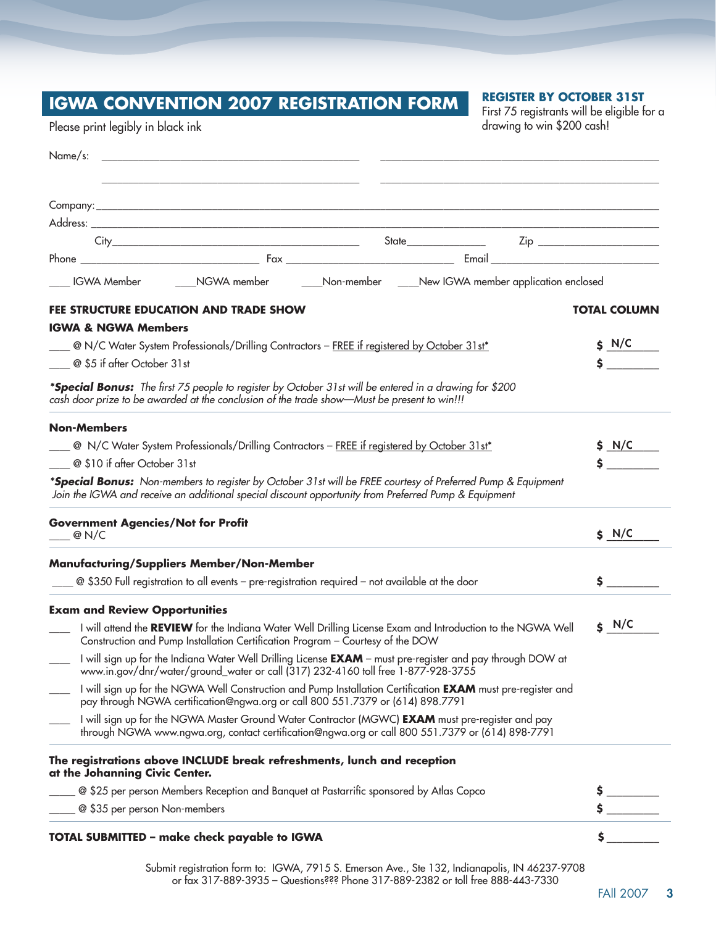# **IGWA CONVENTION 2007 REGISTRATION FORM**

### **REGISTER BY OCTOBER 31ST**

First 75 registrants will be eligible for a drawing to win \$200 cash!

Please print legibly in black ink

| ___ IGWA Member _________NGWA member ________Non-member _____New IGWA member application enclosed                                                                                                                   |                                           |  |
|---------------------------------------------------------------------------------------------------------------------------------------------------------------------------------------------------------------------|-------------------------------------------|--|
| FEE STRUCTURE EDUCATION AND TRADE SHOW                                                                                                                                                                              | <b>TOTAL COLUMN</b>                       |  |
| <b>IGWA &amp; NGWA Members</b>                                                                                                                                                                                      |                                           |  |
| <sup>2</sup> N/C Water System Professionals/Drilling Contractors - FREE if registered by October 31st*                                                                                                              | $S$ N/C                                   |  |
| ____ @ \$5 if after October 31st                                                                                                                                                                                    | $\mathsf{\dot{S}}$ and $\mathsf{\dot{S}}$ |  |
| *Special Bonus: The first 75 people to register by October 31st will be entered in a drawing for \$200<br>cash door prize to be awarded at the conclusion of the trade show-Must be present to win!!!               |                                           |  |
| <b>Non-Members</b>                                                                                                                                                                                                  |                                           |  |
| $\Box$ @ N/C Water System Professionals/Drilling Contractors - FREE if registered by October 31st*                                                                                                                  | \$M/C<br>$\ddot{\mathsf{s}}$              |  |
| $\Box$ @ \$10 if after October 31st                                                                                                                                                                                 |                                           |  |
| *Special Bonus: Non-members to register by October 31st will be FREE courtesy of Preferred Pump & Equipment<br>Join the IGWA and receive an additional special discount opportunity from Preferred Pump & Equipment |                                           |  |
| <b>Government Agencies/Not for Profit</b><br>$\_\_$ @ N/C                                                                                                                                                           | $S$ N/C                                   |  |
| <b>Manufacturing/Suppliers Member/Non-Member</b>                                                                                                                                                                    |                                           |  |
| 20 \$350 Full registration to all events - pre-registration required - not available at the door                                                                                                                    | \$                                        |  |
| <b>Exam and Review Opportunities</b>                                                                                                                                                                                |                                           |  |
| I will attend the REVIEW for the Indiana Water Well Drilling License Exam and Introduction to the NGWA Well<br>Construction and Pump Installation Certification Program - Courtesy of the DOW                       | $S$ N/C                                   |  |
| I will sign up for the Indiana Water Well Drilling License EXAM - must pre-register and pay through DOW at<br>www.in.gov/dnr/water/ground_water or call (317) 232-4160 toll free 1-877-928-3755                     |                                           |  |
| I will sign up for the NGWA Well Construction and Pump Installation Certification EXAM must pre-register and<br>pay through NGWA certification@ngwa.org or call 800 551.7379 or (614) 898.7791                      |                                           |  |
| I will sign up for the NGWA Master Ground Water Contractor (MGWC) EXAM must pre-register and pay<br>through NGWA www.ngwa.org, contact certification@ngwa.org or call 800 551.7379 or (614) 898-7791                |                                           |  |
| The registrations above INCLUDE break refreshments, lunch and reception<br>at the Johanning Civic Center.                                                                                                           |                                           |  |
| @ \$25 per person Members Reception and Banquet at Pastarrific sponsored by Atlas Copco                                                                                                                             |                                           |  |
| @ \$35 per person Non-members                                                                                                                                                                                       |                                           |  |
| <b>TOTAL SUBMITTED - make check payable to IGWA</b>                                                                                                                                                                 |                                           |  |

Submit registration form to: IGWA, 7915 S. Emerson Ave., Ste 132, Indianapolis, IN 46237-9708 or fax 317-889-3935 – Questions??? Phone 317-889-2382 or toll free 888-443-7330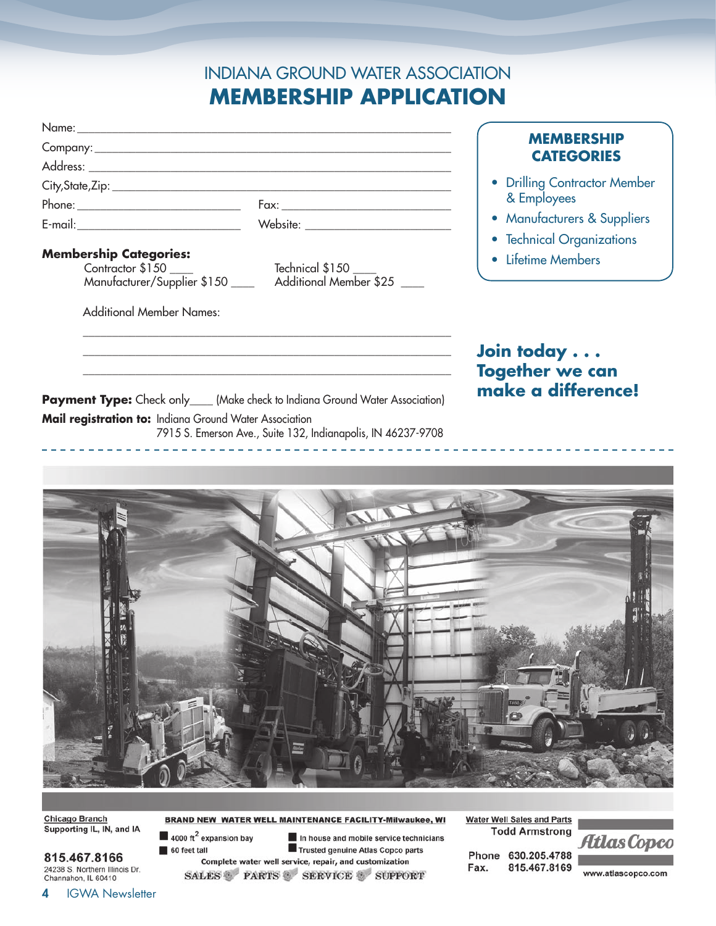# INDIANA GROUND WATER ASSOCIATION **MEMBERSHIP APPLICATION**

| Name: ______________                          |                                        |                              |
|-----------------------------------------------|----------------------------------------|------------------------------|
| Company: _________                            | <b>MEMBERSHIP</b><br><b>CATEGORIES</b> |                              |
|                                               |                                        |                              |
| City,State,Zip: _____________________________ |                                        | • Drilling Contractor Member |
| Phone: __________________________________     |                                        | & Employees                  |
| E-mail: __________________________            | Website:                               | • Manufacturers & Suppliers  |
|                                               |                                        | • Technical Organizations    |
| <b>Membership Categories:</b>                 |                                        | • Lifetime Members           |
| Contractor \$150                              | Technical \$150                        |                              |
| Manufacturer/Supplier \$150                   | Additional Member \$25                 |                              |

Additional Member Names:

**Join today . . . Together we can make a difference!**

**Payment Type:** Check only\_\_\_\_ (Make check to Indiana Ground Water Association) **Mail registration to:** Indiana Ground Water Association 7915 S. Emerson Ave., Suite 132, Indianapolis, IN 46237-9708

\_\_\_\_\_\_\_\_\_\_\_\_\_\_\_\_\_\_\_\_\_\_\_\_\_\_\_\_\_\_\_\_\_\_\_\_\_\_\_\_\_\_\_\_\_\_\_\_\_\_\_\_\_\_\_\_\_\_\_\_\_\_\_ \_\_\_\_\_\_\_\_\_\_\_\_\_\_\_\_\_\_\_\_\_\_\_\_\_\_\_\_\_\_\_\_\_\_\_\_\_\_\_\_\_\_\_\_\_\_\_\_\_\_\_\_\_\_\_\_\_\_\_\_\_\_\_ \_\_\_\_\_\_\_\_\_\_\_\_\_\_\_\_\_\_\_\_\_\_\_\_\_\_\_\_\_\_\_\_\_\_\_\_\_\_\_\_\_\_\_\_\_\_\_\_\_\_\_\_\_\_\_\_\_\_\_\_\_\_\_



**BRAND NEW WATER WELL MAINTENANCE FACILITY-Milwaukee, WI** 

SALES PARTS SERVICE SUPPORT

 $\blacksquare$  4000 ft<sup>2</sup> expansion bay

60 feet tall

**Chicago Branch** Supporting IL, IN, and IA

815.467.8166 24238 S. Northern Illinois Dr. Channahon, IL 60410

**Todd Armstrong** In house and mobile service technicians Trusted genuine Atlas Copco parts Complete water well service, repair, and customization

Phone 630.205.4788

**Water Well Sales and Parts** 

815.467.8169 Fax.

www.atlascopco.com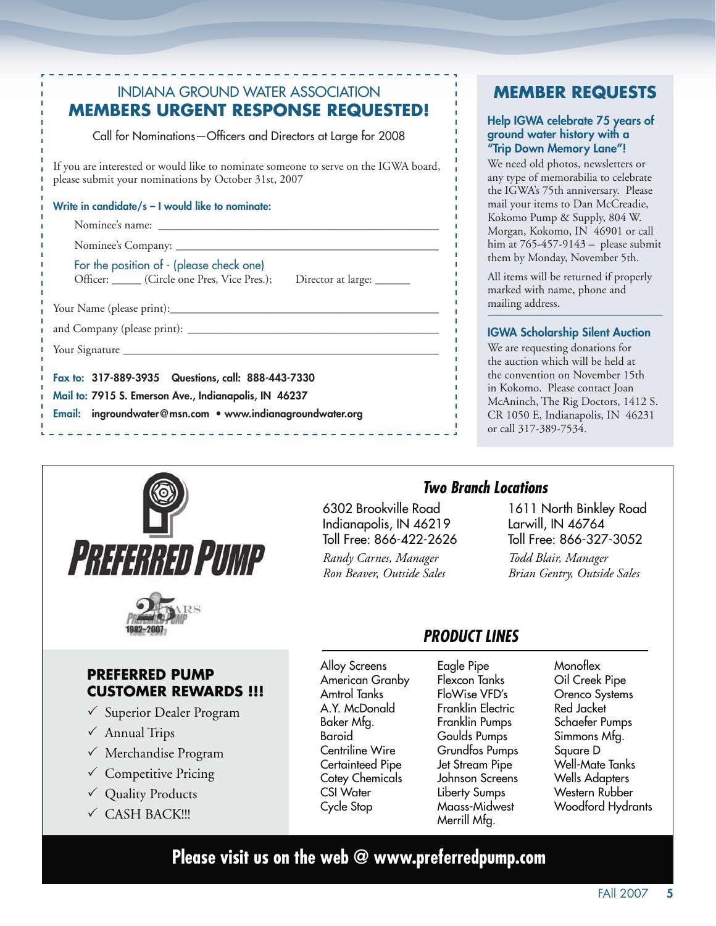| <b>INDIANA GROUND WATER ASSOCIATION</b>                                                                                                     |
|---------------------------------------------------------------------------------------------------------------------------------------------|
| <b>MEMBERS URGENT RESPONSE REQUESTED!</b>                                                                                                   |
| Call for Nominations-Officers and Directors at Large for 2008                                                                               |
| If you are interested or would like to nominate someone to serve on the IGWA board,<br>please submit your nominations by October 31st, 2007 |
| Write in candidate/s – I would like to nominate:                                                                                            |
|                                                                                                                                             |
|                                                                                                                                             |
| For the position of - (please check one)<br>Officer: Circle one Pres, Vice Pres.); Director at large: ______                                |
|                                                                                                                                             |
|                                                                                                                                             |
|                                                                                                                                             |
| Fax to: 317-889-3935 Questions, call: 888-443-7330                                                                                          |
| Mail to: 7915 S. Emerson Ave., Indianapolis, IN 46237                                                                                       |
| Email: ingroundwater@msn.com • www.indianagroundwater.org                                                                                   |
|                                                                                                                                             |

# **MEMBER REQUESTS**

### Help IGWA celebrate 75 years of ground water history with a "Trip Down Memory Lane"!

We need old photos, newsletters or any type of memorabilia to celebrate the IGWA's 75th anniversary. Please mail your items to Dan McCreadie, Kokomo Pump & Supply, 804 W. Morgan, Kokomo, IN 46901 or call him at  $765-457-9143$  - please submit them by Monday, November 5th.

All items will be returned if properly marked with name, phone and mailing address.

### **IGWA Scholarship Silent Auction**

We are requesting donations for the auction which will be held at the convention on November 15th in Kokomo. Please contact Joan McAninch, The Rig Doctors, 1412 S. CR 1050 E, Indianapolis, IN 46231 or call 317-389-7534.



### **PREFERRED PUMP CUSTOMER REWARDS !!!**

- └ Superior Dealer Program
- $\checkmark$  Annual Trips
- $\checkmark$  Merchandise Program
- $\checkmark$  Competitive Pricing
- √ Quality Products
- ✓ CASH BACK!!!

6302 Brookville Road Indianapolis, IN 46219 Toll Free: 866-422-2626 Randy Carnes, Manager Ron Beaver, Outside Sales

### **Two Branch Locations**

1611 North Binkley Road Larwill, IN 46764 Toll Free: 866-327-3052 Todd Blair, Manager Brian Gentry, Outside Sales

# **PRODUCT LINES**

**Alloy Screens** American Granby Amtrol Tanks A.Y. McDonald Baker Mfg. Baroid Centriline Wire Certainteed Pipe **Cotey Chemicals CSI Water** Cycle Stop

Eagle Pipe Flexcon Tanks FloWise VFD's Franklin Electric Franklin Pumps Goulds Pumps Grundfos Pumps Jet Stream Pipe Johnson Screens Liberty Sumps Maass-Midwest Merrill Mfg.

Monoflex Oil Creek Pipe Orenco Systems Red Jacket Schaefer Pumps Simmons Mfg. Square D Well-Mate Tanks **Wells Adapters** Western Rubber Woodford Hydrants

# Please visit us on the web  $@$  www.preferredpump.com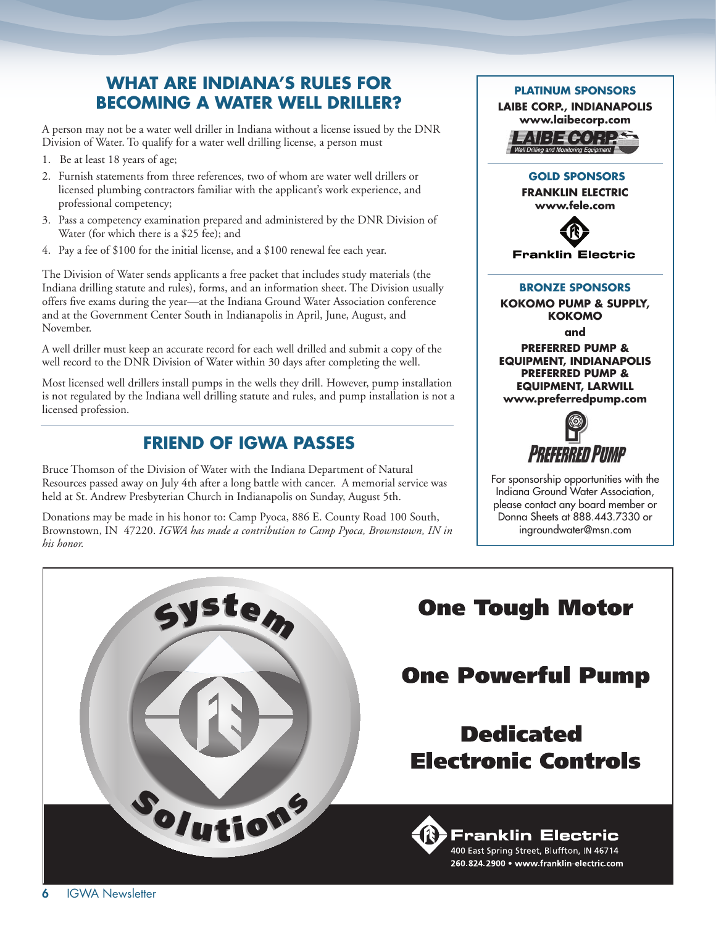# **WHAT ARE INDIANA'S RULES FOR BECOMING A WATER WELL DRILLER?**

A person may not be a water well driller in Indiana without a license issued by the DNR Division of Water. To qualify for a water well drilling license, a person must

- 1. Be at least 18 years of age;
- 2. Furnish statements from three references, two of whom are water well drillers or licensed plumbing contractors familiar with the applicant's work experience, and professional competency;
- 3. Pass a competency examination prepared and administered by the DNR Division of Water (for which there is a \$25 fee); and
- 4. Pay a fee of \$100 for the initial license, and a \$100 renewal fee each year.

The Division of Water sends applicants a free packet that includes study materials (the Indiana drilling statute and rules), forms, and an information sheet. The Division usually offers five exams during the year—at the Indiana Ground Water Association conference and at the Government Center South in Indianapolis in April, June, August, and November.

A well driller must keep an accurate record for each well drilled and submit a copy of the well record to the DNR Division of Water within 30 days after completing the well.

Most licensed well drillers install pumps in the wells they drill. However, pump installation is not regulated by the Indiana well drilling statute and rules, and pump installation is not a licensed profession.

# **FRIEND OF IGWA PASSES**

Bruce Thomson of the Division of Water with the Indiana Department of Natural Resources passed away on July 4th after a long battle with cancer. A memorial service was held at St. Andrew Presbyterian Church in Indianapolis on Sunday, August 5th.

Donations may be made in his honor to: Camp Pyoca, 886 E. County Road 100 South, Brownstown, IN 47220. *IGWA has made a contribution to Camp Pyoca, Brownstown, IN in his honor.*



**PLATINUM SPONSORS**

**PREFERRED PUMP & EQUIPMENT, INDIANAPOLIS PREFERRED PUMP & EQUIPMENT, LARWILL www.preferredpump.com**



For sponsorship opportunities with the Indiana Ground Water Association, please contact any board member or Donna Sheets at 888.443.7330 or ingroundwater@msn.com

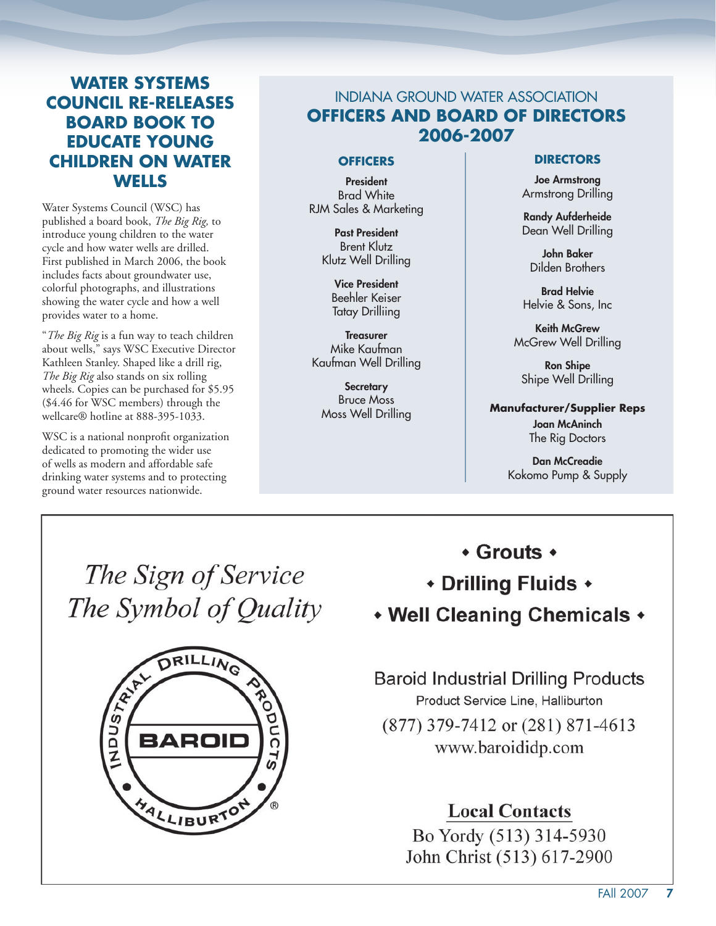# **WATER SYSTEMS COUNCIL RE-RELEASES BOARD BOOK TO EDUCATE YOUNG CHILDREN ON WATER WELLS**

Water Systems Council (WSC) has published a board book, *The Big Rig,* to introduce young children to the water cycle and how water wells are drilled. First published in March 2006, the book includes facts about groundwater use, colorful photographs, and illustrations showing the water cycle and how a well provides water to a home.

"*The Big Rig* is a fun way to teach children about wells," says WSC Executive Director Kathleen Stanley. Shaped like a drill rig, *The Big Rig* also stands on six rolling wheels. Copies can be purchased for \$5.95 (\$4.46 for WSC members) through the wellcare® hotline at 888-395-1033.

WSC is a national nonprofit organization dedicated to promoting the wider use of wells as modern and affordable safe drinking water systems and to protecting ground water resources nationwide.

# INDIANA GROUND WATER ASSOCIATION **OFFICERS AND BOARD OF DIRECTORS 2006-2007**

### **OFFICERS**

President Brad White RJM Sales & Marketing

> Past President Brent Klutz Klutz Well Drilling

Vice President Beehler Keiser Tatay Drilliing

**Treasurer** Mike Kaufman Kaufman Well Drilling

**Secretary** Bruce Moss Moss Well Drilling

### **DIRECTORS**

Joe Armstrong Armstrong Drilling

Randy Aufderheide Dean Well Drilling

John Baker Dilden Brothers

Brad Helvie Helvie & Sons, Inc

Keith McGrew McGrew Well Drilling

Ron Shipe Shipe Well Drilling

**Manufacturer/Supplier Reps** Joan McAninch The Rig Doctors

> Dan McCreadie Kokomo Pump & Supply

The Sign of Service The Symbol of Quality



# $\cdot$  Grouts  $\cdot$

# • Drilling Fluids •

• Well Cleaning Chemicals •

**Baroid Industrial Drilling Products** Product Service Line, Halliburton

(877) 379-7412 or (281) 871-4613 www.baroididp.com

# **Local Contacts**

Bo Yordy (513) 314-5930 John Christ (513) 617-2900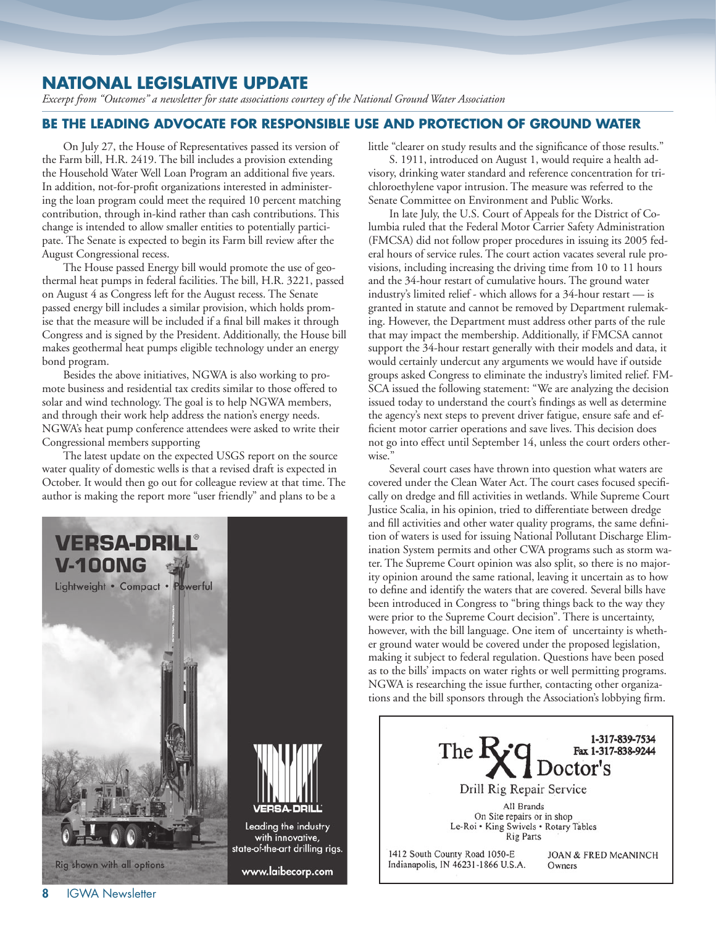# **NATIONAL LEGISLATIVE UPDATE**

*Excerpt from "Outcomes" a newsletter for state associations courtesy of the National Ground Water Association*

### **BE THE LEADING ADVOCATE FOR RESPONSIBLE USE AND PROTECTION OF GROUND WATER**

On July 27, the House of Representatives passed its version of the Farm bill, H.R. 2419. The bill includes a provision extending the Household Water Well Loan Program an additional five years. In addition, not-for-profit organizations interested in administering the loan program could meet the required 10 percent matching contribution, through in-kind rather than cash contributions. This change is intended to allow smaller entities to potentially participate. The Senate is expected to begin its Farm bill review after the August Congressional recess.

The House passed Energy bill would promote the use of geothermal heat pumps in federal facilities. The bill, H.R. 3221, passed on August 4 as Congress left for the August recess. The Senate passed energy bill includes a similar provision, which holds promise that the measure will be included if a final bill makes it through Congress and is signed by the President. Additionally, the House bill makes geothermal heat pumps eligible technology under an energy bond program.

Besides the above initiatives, NGWA is also working to promote business and residential tax credits similar to those offered to solar and wind technology. The goal is to help NGWA members, and through their work help address the nation's energy needs. NGWA's heat pump conference attendees were asked to write their Congressional members supporting

The latest update on the expected USGS report on the source water quality of domestic wells is that a revised draft is expected in October. It would then go out for colleague review at that time. The author is making the report more "user friendly" and plans to be a



little "clearer on study results and the significance of those results."

S. 1911, introduced on August 1, would require a health advisory, drinking water standard and reference concentration for trichloroethylene vapor intrusion. The measure was referred to the Senate Committee on Environment and Public Works.

In late July, the U.S. Court of Appeals for the District of Columbia ruled that the Federal Motor Carrier Safety Administration (FMCSA) did not follow proper procedures in issuing its 2005 federal hours of service rules. The court action vacates several rule provisions, including increasing the driving time from 10 to 11 hours and the 34-hour restart of cumulative hours. The ground water industry's limited relief - which allows for a 34-hour restart — is granted in statute and cannot be removed by Department rulemaking. However, the Department must address other parts of the rule that may impact the membership. Additionally, if FMCSA cannot support the 34-hour restart generally with their models and data, it would certainly undercut any arguments we would have if outside groups asked Congress to eliminate the industry's limited relief. FM-SCA issued the following statement: "We are analyzing the decision issued today to understand the court's findings as well as determine the agency's next steps to prevent driver fatigue, ensure safe and efficient motor carrier operations and save lives. This decision does not go into effect until September 14, unless the court orders otherwise."

Several court cases have thrown into question what waters are covered under the Clean Water Act. The court cases focused specifically on dredge and fill activities in wetlands. While Supreme Court Justice Scalia, in his opinion, tried to differentiate between dredge and fill activities and other water quality programs, the same definition of waters is used for issuing National Pollutant Discharge Elimination System permits and other CWA programs such as storm water. The Supreme Court opinion was also split, so there is no majority opinion around the same rational, leaving it uncertain as to how to define and identify the waters that are covered. Several bills have been introduced in Congress to "bring things back to the way they were prior to the Supreme Court decision". There is uncertainty, however, with the bill language. One item of uncertainty is whether ground water would be covered under the proposed legislation, making it subject to federal regulation. Questions have been posed as to the bills' impacts on water rights or well permitting programs. NGWA is researching the issue further, contacting other organizations and the bill sponsors through the Association's lobbying firm.

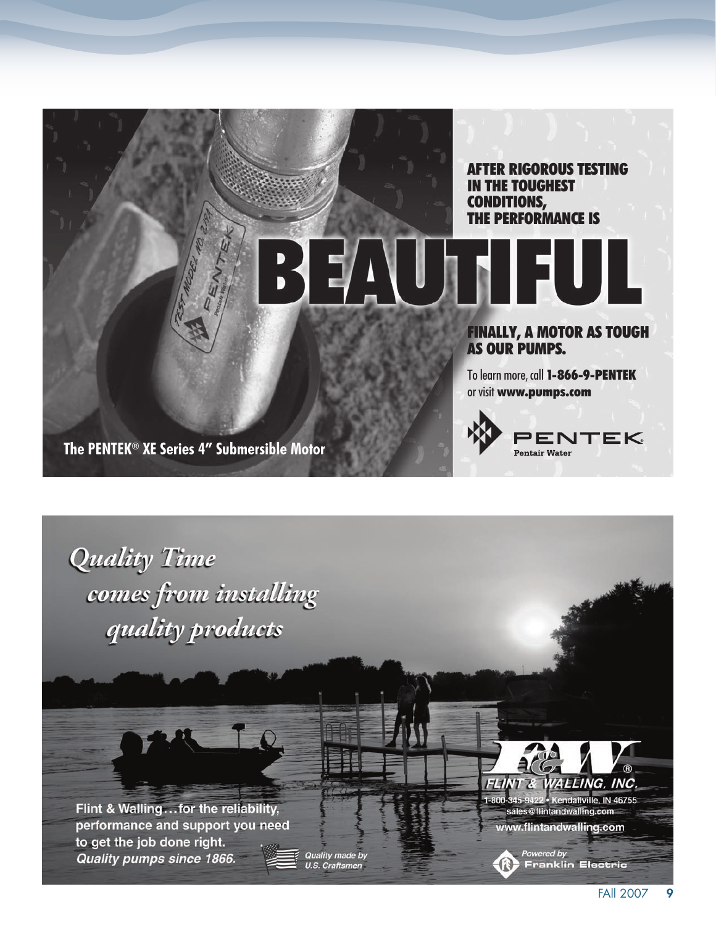



performance and support you need to get the job done right. Quality pumps since 1866.

Quality made by<br>U.S. Craftsmen



sales@flintandwalling.com www.flintandwalling.com

Powered by<br>
Franklin Electric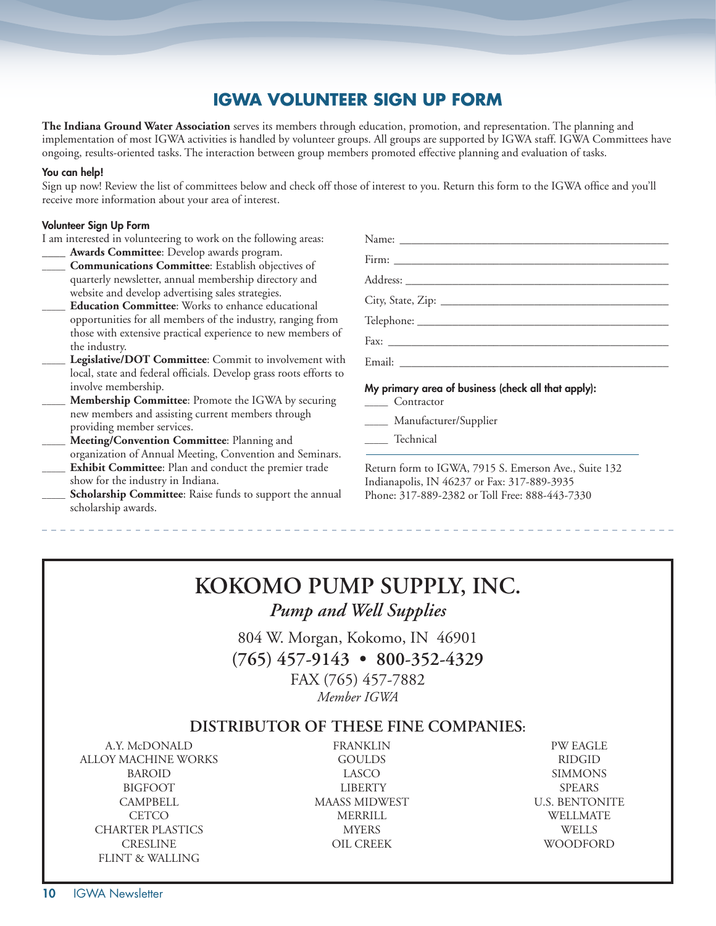# **IGWA VOLUNTEER SIGN UP FORM**

**The Indiana Ground Water Association** serves its members through education, promotion, and representation. The planning and implementation of most IGWA activities is handled by volunteer groups. All groups are supported by IGWA staff. IGWA Committees have ongoing, results-oriented tasks. The interaction between group members promoted effective planning and evaluation of tasks.

#### You can help!

Sign up now! Review the list of committees below and check off those of interest to you. Return this form to the IGWA office and you'll receive more information about your area of interest.

#### Volunteer Sign Up Form

I am interested in volunteering to work on the following areas: Awards Committee: Develop awards program. **\_\_\_\_\_ Communications Committee**: Establish objectives of quarterly newsletter, annual membership directory and website and develop advertising sales strategies. **\_\_\_\_\_ Education Committee**: Works to enhance educational opportunities for all members of the industry, ranging from those with extensive practical experience to new members of the industry. Legislative/DOT Committee: Commit to involvement with local, state and federal officials. Develop grass roots efforts to involve membership. **\_\_\_\_\_ Membership Committee**: Promote the IGWA by securing new members and assisting current members through providing member services. **\_\_\_\_\_ Meeting/Convention Committee**: Planning and organization of Annual Meeting, Convention and Seminars. Name: \_\_\_\_\_\_\_\_\_\_\_\_\_\_\_\_\_\_\_\_\_\_\_\_\_\_\_\_\_\_\_\_\_\_\_\_\_\_\_\_\_\_\_\_\_\_ Firm: Address: \_\_\_\_\_\_\_\_\_\_\_\_\_\_\_\_\_\_\_\_\_\_\_\_\_\_\_\_\_\_\_\_\_\_\_\_\_\_\_\_\_\_\_\_\_ City, State, Zip: \_\_\_\_\_\_\_\_\_\_\_\_\_\_\_\_\_\_\_\_\_\_\_\_\_\_\_\_\_\_\_\_\_\_\_\_\_\_\_ Telephone: \_\_\_\_\_\_\_\_\_\_\_\_\_\_\_\_\_\_\_\_\_\_\_\_\_\_\_\_\_\_\_\_\_\_\_\_\_\_\_\_\_\_\_ Fax: \_\_\_\_\_\_\_\_\_\_\_\_\_\_\_\_\_\_\_\_\_\_\_\_\_\_\_\_\_\_\_\_\_\_\_\_\_\_\_\_\_\_\_\_\_\_\_\_ Email: \_\_\_\_\_\_\_\_\_\_\_\_\_\_\_\_\_\_\_\_\_\_\_\_\_\_\_\_\_\_\_\_\_\_\_\_\_\_\_\_\_\_\_\_\_\_ My primary area of business (check all that apply): **\_\_\_\_\_** Contractor **\_\_\_\_\_** Manufacturer/Supplier **\_\_\_\_\_** Technical

**Exhibit Committee**: Plan and conduct the premier trade Scholarship Committee: Raise funds to support the annual Return form to IGWA, 7915 S. Emerson Ave., Suite 132 Indianapolis, IN 46237 or Fax: 317-889-3935 Phone: 317-889-2382 or Toll Free: 888-443-7330

# **KOKOMO PUMP SUPPLY, INC.** *Pump and Well Supplies*

804 W. Morgan, Kokomo, IN 46901

**(765) 457-9143 • 800-352-4329**

FAX (765) 457-7882 *Member IGWA*

### **DISTRIBUTOR OF THESE FINE COMPANIES:**

 ALLOY MACHINE WORKS GOULDS RIDGID BAROID LASCO SIMMONS BIGFOOT LIBERTY SPEARS CAMPBELL MAASS MIDWEST U.S. BENTONITE CETCO MERRILL WELLMATE CHARTER PLASTICS MYERS WELLS CRESLINE OIL CREEK WOODFORD FLINT & WALLING

show for the industry in Indiana.

scholarship awards.

A.Y. McDONALD FRANKLIN PW EAGLE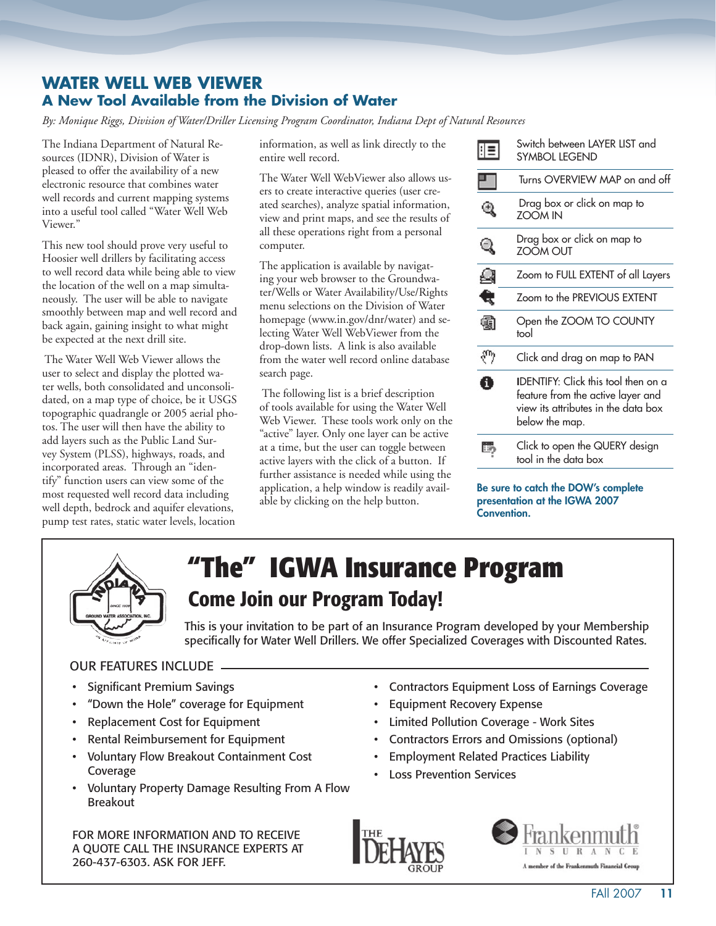## **WATER WELL WEB VIEWER A New Tool Available from the Division of Water**

*By: Monique Riggs, Division of Water/Driller Licensing Program Coordinator, Indiana Dept of Natural Resources*

The Indiana Department of Natural Resources (IDNR), Division of Water is pleased to offer the availability of a new electronic resource that combines water well records and current mapping systems into a useful tool called "Water Well Web Viewer."

This new tool should prove very useful to Hoosier well drillers by facilitating access to well record data while being able to view the location of the well on a map simultaneously. The user will be able to navigate smoothly between map and well record and back again, gaining insight to what might be expected at the next drill site.

 The Water Well Web Viewer allows the user to select and display the plotted water wells, both consolidated and unconsolidated, on a map type of choice, be it USGS topographic quadrangle or 2005 aerial photos. The user will then have the ability to add layers such as the Public Land Survey System (PLSS), highways, roads, and incorporated areas. Through an "identify" function users can view some of the most requested well record data including well depth, bedrock and aquifer elevations, pump test rates, static water levels, location

information, as well as link directly to the entire well record.

The Water Well WebViewer also allows users to create interactive queries (user created searches), analyze spatial information, view and print maps, and see the results of all these operations right from a personal computer.

The application is available by navigating your web browser to the Groundwater/Wells or Water Availability/Use/Rights menu selections on the Division of Water homepage (www.in.gov/dnr/water) and selecting Water Well WebViewer from the drop-down lists. A link is also available from the water well record online database search page.

 The following list is a brief description of tools available for using the Water Well Web Viewer. These tools work only on the "active" layer. Only one layer can be active at a time, but the user can toggle between active layers with the click of a button. If further assistance is needed while using the application, a help window is readily available by clicking on the help button.

|    | Switch between LAYER LIST and<br>SYMBOL LEGEND                                                                                           |
|----|------------------------------------------------------------------------------------------------------------------------------------------|
|    | Turns OVERVIEW MAP on and off                                                                                                            |
|    | Drag box or click on map to<br><b>ZOOM IN</b>                                                                                            |
|    | Drag box or click on map to<br><b>ZOOM OUT</b>                                                                                           |
|    | Zoom to FULL EXTENT of all Layers                                                                                                        |
|    | Zoom to the PREVIOUS EXTENT                                                                                                              |
|    | Open the ZOOM TO COUNTY<br>tool                                                                                                          |
| ηn | Click and drag on map to PAN                                                                                                             |
| H  | <b>IDENTIFY:</b> Click this tool then on a<br>feature from the active layer and<br>view its attributes in the data box<br>below the map. |
|    | Click to open the QUERY design<br>tool in the data box                                                                                   |
|    |                                                                                                                                          |

Be sure to catch the DOW's complete presentation at the IGWA 2007 Convention.



# **"The" IGWA Insurance Program** Come Join our Program Today!

This is your invitation to be part of an Insurance Program developed by your Membership specifically for Water Well Drillers. We offer Specialized Coverages with Discounted Rates.

### OUR FEATURES INCLUDE

- Significant Premium Savings
- "Down the Hole" coverage for Equipment
- Replacement Cost for Equipment
- Rental Reimbursement for Equipment
- Voluntary Flow Breakout Containment Cost Coverage
- Voluntary Property Damage Resulting From A Flow Breakout

FOR MORE INFORMATION AND TO RECEIVE A QUOTE CALL THE INSURANCE EXPERTS AT 260-437-6303. ASK FOR JEFF.

- Contractors Equipment Loss of Earnings Coverage
- **Equipment Recovery Expense**
- Limited Pollution Coverage Work Sites
- Contractors Errors and Omissions (optional)
- Employment Related Practices Liability
- Loss Prevention Services